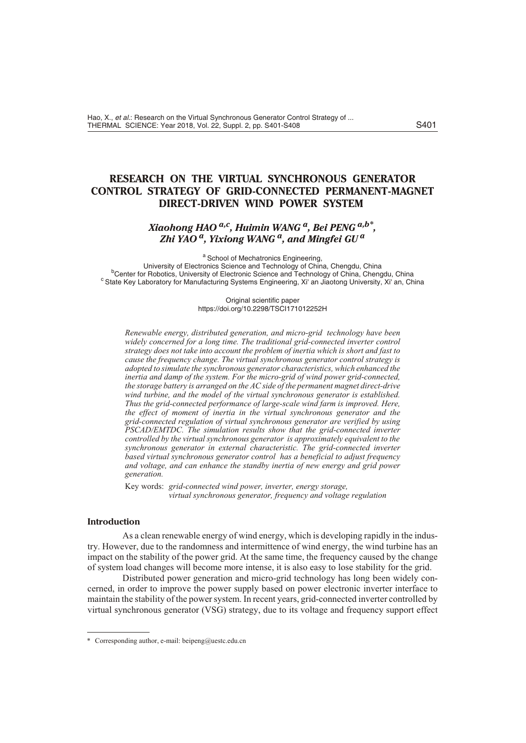# **RESEARCH ON THE VIRTUAL SYNCHRONOUS GENERATOR CONTROL STRATEGY OF GRID-CONNECTED PERMANENT-MAGNET DIRECT-DRIVEN WIND POWER SYSTEM**

## *Xiaohong HAO a,c, Huimin WANG a, Bei PENG a,b\* , Zhi YAO a, Yixiong WANG a, and Mingfei GU<sup>a</sup>*

a School of Mechatronics Engineering. University of Electronics Science and Technology of China, Chengdu, China <sup>b</sup>Center for Robotics, University of Electronic Science and Technology of China, Chengdu, China <sup>c</sup> State Key Laboratory for Manufacturing Systems Engineering, Xi' an Jiaotong University, Xi' an, China

> Original scientific paper https://doi.org/10.2298/TSCI171012252H

*Renewable energy, distributed generation, and micro-grid technology have been* widely concerned for a long time. The traditional grid-connected inverter control *strat egy does not take into ac count the prob lem of in er tia which is short and fast to cause the frequency change. The virtual synchronous generator control strategy is adopted to sim u late the syn chro nous gen er a tor char ac ter is tics, which en hanced the*  inertia and damp of the system. For the micro-grid of wind power grid-connected, the storage battery is arranged on the AC side of the permanent magnet direct-drive wind turbine, and the model of the virtual synchronous generator is established. *Thus the grid-con nected per for mance of large-scale wind farm is im proved. Here, the effect of moment of inertia in the virtual synchronous generator and the grid-con nected reg u la tion of vir tual syn chro nous gen er a tor are ver i fied by us ing PSCAD/EMTDC. The simulation results show that the grid-connected inverter controlled by the virtual synchronous generator is approximately equivalent to the* synchronous generator in external characteristic. The grid-connected inverter based virtual synchronous generator control has a beneficial to adjust frequency and voltage, and can enhance the standby inertia of new energy and grid power *gen er a tion.*

Key words: grid-connected wind power, inverter, energy storage, *vir tual syn chro nous gen er a tor, fre quency and volt age reg u la tion*

### **In tro duc tion**

As a clean renewable energy of wind energy, which is developing rapidly in the industry. However, due to the randomness and intermittence of wind energy, the wind turbine has an impact on the stability of the power grid. At the same time, the frequency caused by the change of sys tem load changes will be come more in tense, it is also easy to lose sta bil ity for the grid.

Distributed power generation and micro-grid technology has long been widely concerned, in order to improve the power supply based on power electronic inverter interface to maintain the stability of the power system. In recent years, grid-connected inverter controlled by virtual synchronous generator (VSG) strategy, due to its voltage and frequency support effect

<sup>\*</sup> Corresponding author, e-mail: beipeng@uestc.edu.cn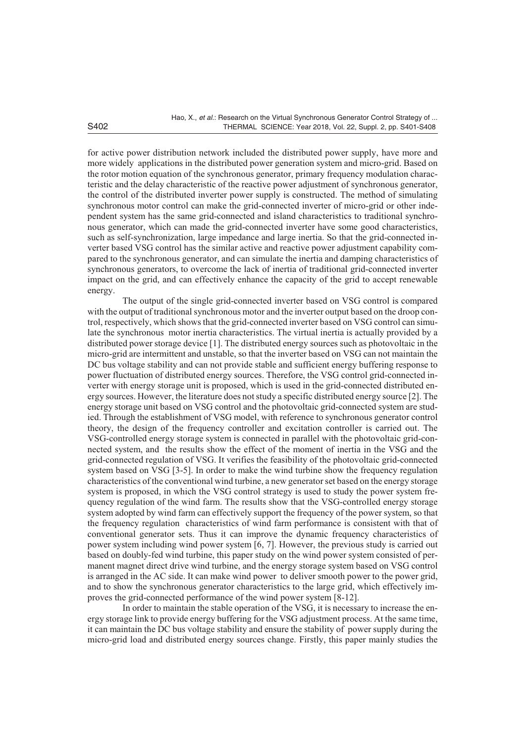for active power distribution network included the distributed power supply, have more and more widely applications in the distributed power generation system and micro-grid. Based on the rotor motion equation of the synchronous generator, primary frequency modulation characteristic and the delay characteristic of the reactive power adjustment of synchronous generator, the control of the distributed inverter power supply is constructed. The method of simulating synchronous motor control can make the grid-connected inverter of micro-grid or other independent system has the same grid-connected and island characteristics to traditional synchronous generator, which can made the grid-connected inverter have some good characteristics, such as self-synchronization, large impedance and large inertia. So that the grid-connected inverter based VSG control has the similar active and reactive power adjustment capability compared to the synchronous generator, and can simulate the inertia and damping characteristics of synchronous generators, to overcome the lack of inertia of traditional grid-connected inverter impact on the grid, and can effectively enhance the capacity of the grid to accept renewable energy.

The output of the single grid-connected inverter based on VSG control is compared with the output of traditional synchronous motor and the inverter output based on the droop control, respectively, which shows that the grid-connected inverter based on VSG control can simulate the synchronous motor inertia characteristics. The virtual inertia is actually provided by a distributed power storage device [1]. The distributed energy sources such as photovoltaic in the micro-grid are intermittent and unstable, so that the inverter based on VSG can not maintain the DC bus voltage stability and can not provide stable and sufficient energy buffering response to power fluctuation of distributed energy sources. Therefore, the VSG control grid-connected inverter with energy storage unit is proposed, which is used in the grid-connected distributed energy sources. However, the literature does not study a specific distributed energy source  $[2]$ . The energy storage unit based on VSG control and the photovoltaic grid-connected system are studied. Through the establishment of VSG model, with reference to synchronous generator control theory, the design of the frequency controller and excitation controller is carried out. The VSG-controlled energy storage system is connected in parallel with the photovoltaic grid-connected system, and the results show the effect of the moment of inertia in the VSG and the grid-connected regulation of VSG. It verifies the feasibility of the photovoltaic grid-connected system based on VSG  $[3-5]$ . In order to make the wind turbine show the frequency regulation characteristics of the conventional wind turbine, a new generator set based on the energy storage system is proposed, in which the VSG control strategy is used to study the power system frequency regulation of the wind farm. The results show that the VSG-controlled energy storage system adopted by wind farm can effectively support the frequency of the power system, so that the frequency regulation characteristics of wind farm performance is consistent with that of conventional generator sets. Thus it can improve the dynamic frequency characteristics of power system including wind power system [6, 7]. However, the previous study is carried out based on doubly-fed wind turbine, this paper study on the wind power system consisted of permanent magnet direct drive wind turbine, and the energy storage system based on VSG control is arranged in the AC side. It can make wind power to deliver smooth power to the power grid, and to show the synchronous generator characteristics to the large grid, which effectively improves the grid-connected performance of the wind power system [8-12].

In order to maintain the stable operation of the VSG, it is necessary to increase the energy storage link to provide energy buffering for the VSG adjustment process. At the same time, it can maintain the DC bus voltage stability and ensure the stability of power supply during the micro-grid load and distributed energy sources change. Firstly, this paper mainly studies the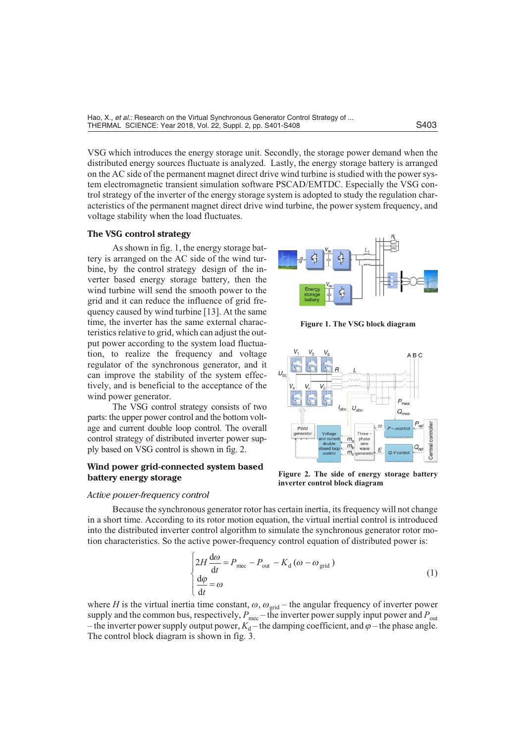VSG which introduces the energy storage unit. Secondly, the storage power demand when the distributed energy sources fluctuate is analyzed. Lastly, the energy storage battery is arranged on the AC side of the permanent magnet direct drive wind turbine is studied with the power system electromagnetic transient simulation software PSCAD/EMTDC. Especially the VSG control strategy of the inverter of the energy storage system is adopted to study the regulation characteristics of the permanent magnet direct drive wind turbine, the power system frequency, and voltage stability when the load fluctuates.

#### **The VSG control strategy**

As shown in fig. 1, the energy storage battery is arranged on the AC side of the wind turbine, by the control strategy design of the inverter based energy storage battery, then the wind turbine will send the smooth power to the grid and it can reduce the influence of grid frequency caused by wind turbine [13]. At the same time, the inverter has the same external characteristics relative to grid, which can adjust the output power according to the system load fluctuation, to realize the frequency and voltage regulator of the synchronous generator, and it can improve the stability of the system effectively, and is beneficial to the acceptance of the wind power generator.

The VSG control strategy consists of two parts: the upper power control and the bottom voltage and current double loop control. The overall control strategy of distributed inverter power supply based on VSG control is shown in fig. 2.

## **Wind power grid-connected system based battery energy storage**



**Figure 1. The VSG block diagram** 



Figure 2. The side of energy storage battery **inverter control block diagram** 

#### *Ac tive power-fre quency con trol*

Because the synchronous generator rotor has certain inertia, its frequency will not change in a short time. According to its rotor motion equation, the virtual inertial control is introduced into the distributed inverter control algorithm to simulate the synchronous generator rotor motion characteristics. So the active power-frequency control equation of distributed power is:

$$
2H \frac{d\omega}{dt} P_{\text{mec}} P_{\text{out}} K_d (\omega \omega_{\text{grid}})
$$
  
\n
$$
\frac{d\varphi}{dt} \omega
$$
\n(1)

where *H* is the virtual inertia time constant,  $\omega \omega_{\text{grid}}$  – the angular frequency of inverter power supply and the common bus, respectively,  $P_{\text{mec}}$  – the inverter power supply input power and  $P_{\text{out}}$ – the inverter power supply output power,  $K_d$  – the damping coefficient, and  $\varphi$  – the phase angle. The control block diagram is shown in fig. 3.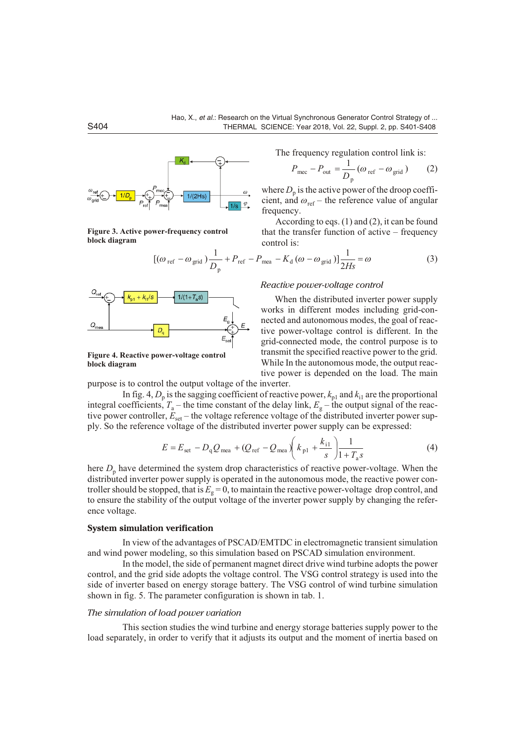

Figure 3. Active power-frequency control **block** diagram





Figure 4. Reactive power-voltage control **block** diagram

The frequency regulation control link is:

$$
P_{\text{mec}} \quad P_{\text{out}} \quad \frac{1}{D_{\text{p}}} (\omega_{\text{ref}} \quad \omega_{\text{grid}}) \tag{2}
$$

where  $D_{\rm p}$  is the active power of the droop coefficient, and  $\omega_{ref}$  – the reference value of angular frequency.

According to eqs.  $(1)$  and  $(2)$ , it can be found that the transfer function of active – frequency control is:

$$
[(\omega_{\text{ref}} \quad \omega_{\text{grid}}) \frac{1}{D_{\text{p}}} \quad P_{\text{ref}} \quad P_{\text{mea}} \quad K_{\text{d}} (\omega \quad \omega_{\text{grid}})] \frac{1}{2Hs} \quad \omega \tag{3}
$$

#### *Re ac tive power-volt age con trol*

When the distributed inverter power supply works in different modes including grid-connected and autonomous modes, the goal of reactive power-voltage control is different. In the grid-connected mode, the control purpose is to transmit the specified reactive power to the grid. While In the autonomous mode, the output reactive power is depended on the load. The main pur pose is to control the output voltage of the inverter.

In fig. 4,  $D_p$  is the sagging coefficient of reactive power,  $k_{p1}$  and  $k_{i1}$  are the proportional integral coefficients,  $T_a$  – the time constant of the delay link,  $E_g$  – the output signal of the reactive power controller,  $E_{\text{set}}$  – the voltage reference voltage of the distributed inverter power supply. So the reference voltage of the distributed inverter power supply can be expressed:

$$
E E_{\text{set}} D_q Q_{\text{mea}} (Q_{\text{ref}} Q_{\text{mea}}) k_{p1} \frac{k_{i1}}{s} \frac{1}{1 T_a s}
$$
 (4)

here  $D_{\rm p}$  have determined the system drop characteristics of reactive power-voltage. When the distributed inverter power supply is operated in the autonomous mode, the reactive power controller should be stopped, that is  $E<sub>g</sub> = 0$ , to maintain the reactive power-voltage drop control, and to ensure the stability of the output voltage of the inverter power supply by changing the reference voltage.

#### **System simulation verification**

In view of the advantages of PSCAD/EMTDC in electromagnetic transient simulation and wind power modeling, so this simulation based on PSCAD simulation environment.

In the model, the side of permanent magnet direct drive wind turbine adopts the power control, and the grid side adopts the voltage control. The VSG control strategy is used into the side of inverter based on energy storage battery. The VSG control of wind turbine simulation shown in fig. 5. The parameter configuration is shown in tab. 1.

## *The simulation of load power variation*

This section studies the wind turbine and energy storage batteries supply power to the load separately, in order to verify that it adjusts its output and the moment of inertia based on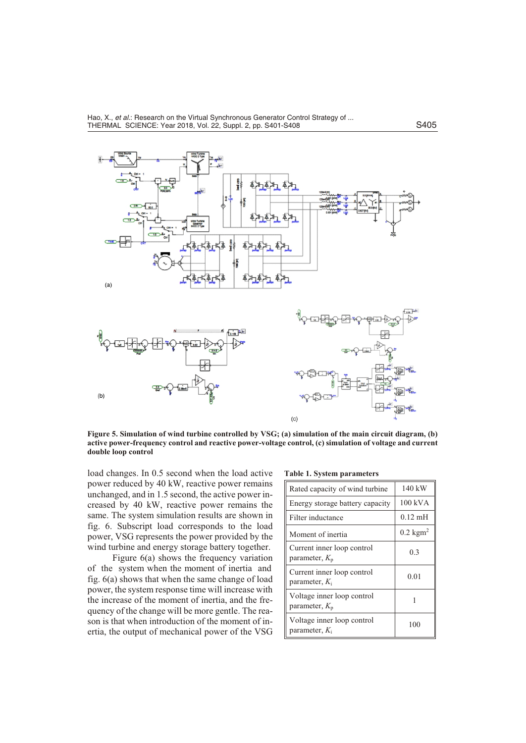

Figure 5. Simulation of wind turbine controlled by VSG; (a) simulation of the main circuit diagram, (b) **active power-frequency control and reactive power-voltage control, (c) simulation of voltage and current double loop control** (*for color image see journal web site*)

load changes. In 0.5 second when the load active power reduced by 40 kW, reactive power remains unchanged, and in 1.5 second, the active power increased by 40 kW, reactive power remains the same. The system simulation results are shown in fig. 6. Subscript load corresponds to the load power, VSG represents the power provided by the wind turbine and energy storage battery together.

Figure  $6(a)$  shows the frequency variation of the system when the moment of inertia and fig. 6(a) shows that when the same change of load power, the system response time will increase with the increase of the moment of inertia, and the frequency of the change will be more gentle. The reason is that when introduction of the moment of inertia, the output of mechanical power of the VSG

**Table 1. System parameters** 

| Rated capacity of wind turbine                 | 140 kW                      |
|------------------------------------------------|-----------------------------|
| Energy storage battery capacity                | 100 kVA                     |
| Filter inductance                              | $0.12 \text{ mH}$           |
| Moment of inertia                              | $0.2 \text{ kg} \text{m}^2$ |
| Current inner loop control<br>parameter, $K_p$ | 0.3                         |
| Current inner loop control<br>parameter, $K_i$ | 0.01                        |
| Voltage inner loop control<br>parameter, $K_p$ |                             |
| Voltage inner loop control<br>parameter, $K_i$ | 100                         |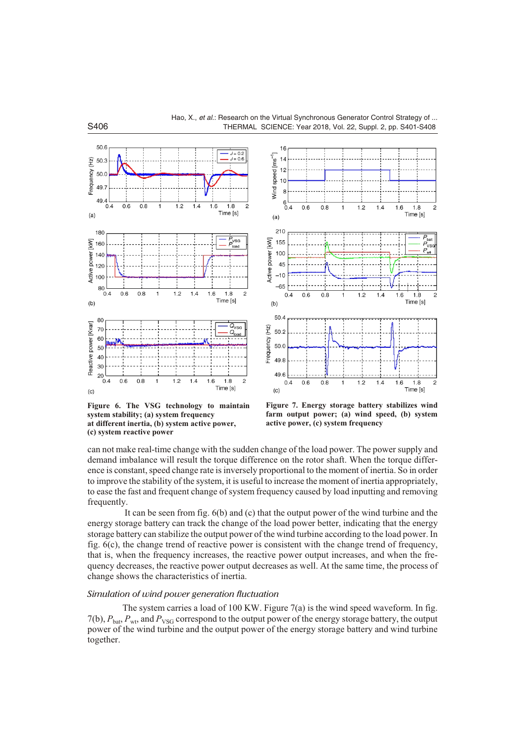

**Figure 6. The VSG technology to maintain system stability; (a) system frequency at different inertia, (b) system active power, (c) system reactive power**



**Figure 7. Energy storage battery stabilizes wind farm output power; (a) wind speed, (b) system active power, (c) system frequency**

can not make real-time change with the sudden change of the load power. The power supply and demand imbalance will result the torque difference on the rotor shaft. When the torque difference is constant, speed change rate is inversely proportional to the moment of inertia. So in order to improve the stability of the system, it is useful to increase the moment of inertia appropriately, to ease the fast and frequent change of system frequency caused by load inputting and removing frequently.

It can be seen from fig.  $6(b)$  and  $(c)$  that the output power of the wind turbine and the energy storage battery can track the change of the load power better, indicating that the energy storage battery can stabilize the output power of the wind turbine according to the load power. In fig. 6(c), the change trend of reactive power is consistent with the change trend of frequency, that is, when the frequency increases, the reactive power output increases, and when the frequency decreases, the reactive power output decreases as well. At the same time, the process of change shows the characteristics of inertia.

## *Simulation of wind power generation fluctuation*

The system carries a load of 100 KW. Figure  $7(a)$  is the wind speed waveform. In fig. 7(b),  $P_{\text{bat}}$ ,  $P_{\text{wt}}$ , and  $P_{\text{VSG}}$  correspond to the output power of the energy storage battery, the output power of the wind turbine and the output power of the energy storage battery and wind turbine to gether.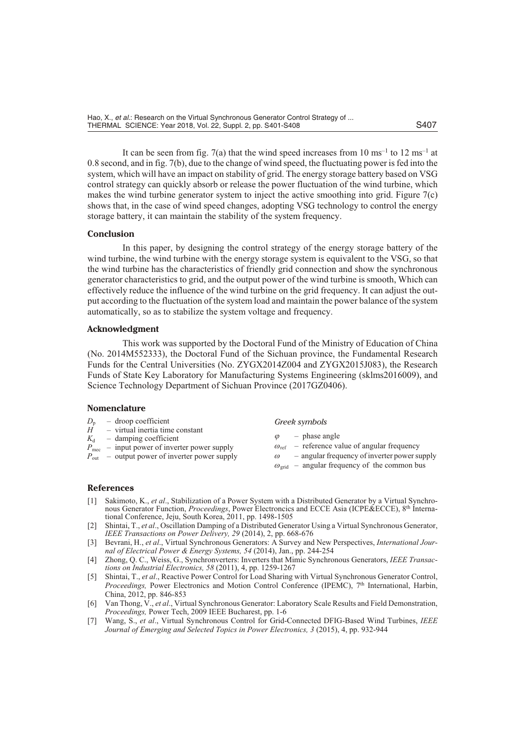Hao, X., *et al*.: Research on the Virtual Synchronous Generator Control Strategy of ... THERMAL SCIENCE: Year 2018, Vol. 22, Suppl. 2, pp. S401-S408 S407

It can be seen from fig. 7(a) that the wind speed increases from  $10 \text{ ms}^{-1}$  to  $12 \text{ ms}^{-1}$  at  $0.8$  second, and in fig. 7(b), due to the change of wind speed, the fluctuating power is fed into the system, which will have an impact on stability of grid. The energy storage battery based on VSG control strategy can quickly absorb or release the power fluctuation of the wind turbine, which makes the wind turbine generator system to inject the active smoothing into grid. Figure  $7(c)$ shows that, in the case of wind speed changes, adopting VSG technology to control the energy storage battery, it can maintain the stability of the system frequency.

#### **Con clu sion**

In this paper, by designing the control strategy of the energy storage battery of the wind turbine, the wind turbine with the energy storage system is equivalent to the VSG, so that the wind turbine has the characteristics of friendly grid connection and show the synchronous generator characteristics to grid, and the output power of the wind turbine is smooth. Which can effectively reduce the influence of the wind turbine on the grid frequency. It can adjust the output according to the fluctuation of the system load and maintain the power balance of the system automatically, so as to stabilize the system voltage and frequency.

#### **Ac knowl edg ment**

This work was supported by the Doctoral Fund of the Ministry of Education of China (No. 2014M552333), the Doctoral Fund of the Sichuan province, the Fundamental Research Funds for the Central Universities (No. ZYGX2014Z004 and ZYGX2015J083), the Research Funds of State Key Laboratory for Manufacturing Systems Engineering (sklms2016009), and Science Technology Department of Sichuan Province (2017GZ0406).

#### **Nomenclature**

- $D_p$  droop coefficient<br>*H* virtual inertia time
- virtual inertia time constant
- $K_d$  damping coefficient
- $P_{\text{mec}}$  input power of inverter power supply
- $P_{\text{out}}$  output power of inverter power supply
- *Greek sym bols*
- $\varphi$  phase angle
- $\omega_{\text{ref}}$  reference value of angular frequency
- $\omega$  angular frequency of inverter power supply
- $\omega_{\text{grid}}$  angular frequency of the common bus

#### **Ref er ences**

- [1] Sakimoto, K., *et al.*, Stabilization of a Power System with a Distributed Generator by a Virtual Synchronous Generator Function, *Proceedings*, Power Electroncics and ECCE Asia (ICPE&ECCE), 8<sup>th</sup> International Conference, Jeju, South Korea, 2011, pp. 1498-1505
- [2] Shintai, T., et al., Oscillation Damping of a Distributed Generator Using a Virtual Synchronous Generator, *IEEE Transactions on Power Delivery, 29 (2014), 2, pp. 668-676*
- [3] Bevrani, H., *et al.*, Virtual Synchronous Generators: A Survey and New Perspectives, *International Journal of Electrical Power & Energy Systems, 54 (2014), Jan., pp. 244-254*
- [4] Zhong, Q. C., Weiss, G., Synchronverters: Inverters that Mimic Synchronous Generators, *IEEE Transactions on In dus trial Elec tron ics, 58* (2011), 4, pp. 1259-1267
- [5] Shintai, T., et al., Reactive Power Control for Load Sharing with Virtual Synchronous Generator Control, *Proceedings, Power Electronics and Motion Control Conference (IPEMC), 7th International, Harbin,* China, 2012, pp. 846-853
- [6] Van Thong, V., et al., Virtual Synchronous Generator: Laboratory Scale Results and Field Demonstration, *Proceedings, Power Tech, 2009 IEEE Bucharest, pp. 1-6*
- [7] Wang, S., *et al.*, Virtual Synchronous Control for Grid-Connected DFIG-Based Wind Turbines, *IEEE Journal of Emerging and Selected Topics in Power Electronics, 3 (2015), 4, pp. 932-944*